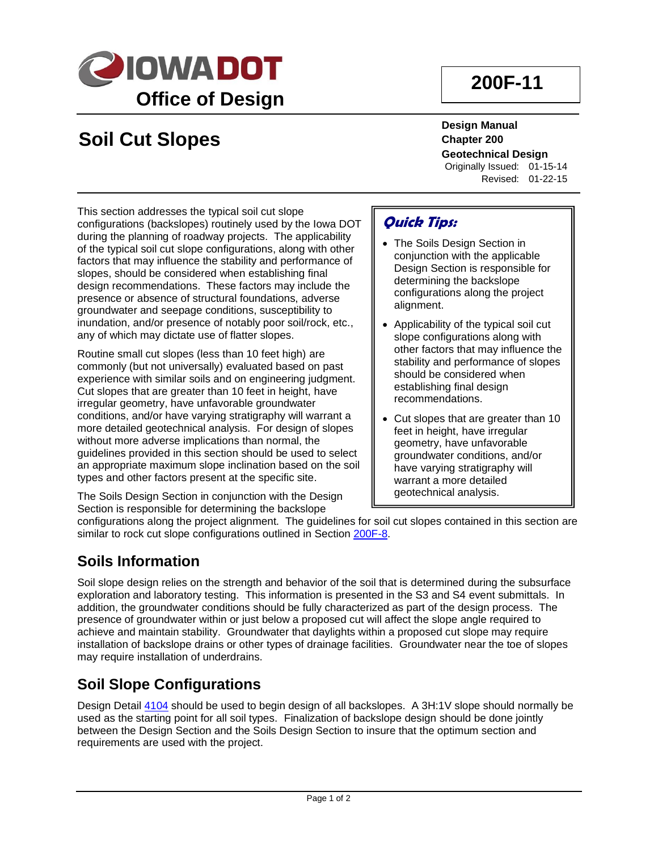

# **200F-11**

# **Soil Cut Slopes**

**Design Manual Chapter 200 Geotechnical Design** Originally Issued: 01-15-14 Revised: 01-22-15

This section addresses the typical soil cut slope configurations (backslopes) routinely used by the Iowa DOT during the planning of roadway projects. The applicability of the typical soil cut slope configurations, along with other factors that may influence the stability and performance of slopes, should be considered when establishing final design recommendations. These factors may include the presence or absence of structural foundations, adverse groundwater and seepage conditions, susceptibility to inundation, and/or presence of notably poor soil/rock, etc., any of which may dictate use of flatter slopes.

Routine small cut slopes (less than 10 feet high) are commonly (but not universally) evaluated based on past experience with similar soils and on engineering judgment. Cut slopes that are greater than 10 feet in height, have irregular geometry, have unfavorable groundwater conditions, and/or have varying stratigraphy will warrant a more detailed geotechnical analysis. For design of slopes without more adverse implications than normal, the guidelines provided in this section should be used to select an appropriate maximum slope inclination based on the soil types and other factors present at the specific site.

#### **Quick Tips:**

- The Soils Design Section in conjunction with the applicable Design Section is responsible for determining the backslope configurations along the project alignment.
- Applicability of the typical soil cut slope configurations along with other factors that may influence the stability and performance of slopes should be considered when establishing final design recommendations.
- Cut slopes that are greater than 10 feet in height, have irregular geometry, have unfavorable groundwater conditions, and/or have varying stratigraphy will warrant a more detailed geotechnical analysis.

The Soils Design Section in conjunction with the Design Section is responsible for determining the backslope

configurations along the project alignment. The guidelines for soil cut slopes contained in this section are similar to rock cut slope configurations outlined in Section [200F-8.](200F-08.pdf)

#### **Soils Information**

Soil slope design relies on the strength and behavior of the soil that is determined during the subsurface exploration and laboratory testing. This information is presented in the S3 and S4 event submittals. In addition, the groundwater conditions should be fully characterized as part of the design process. The presence of groundwater within or just below a proposed cut will affect the slope angle required to achieve and maintain stability. Groundwater that daylights within a proposed cut slope may require installation of backslope drains or other types of drainage facilities. Groundwater near the toe of slopes may require installation of underdrains.

#### **Soil Slope Configurations**

Design Detail [4104](../tnt/PDFsandWebFiles/IndividualPDFs/4104.pdf) should be used to begin design of all backslopes. A 3H:1V slope should normally be used as the starting point for all soil types. Finalization of backslope design should be done jointly between the Design Section and the Soils Design Section to insure that the optimum section and requirements are used with the project.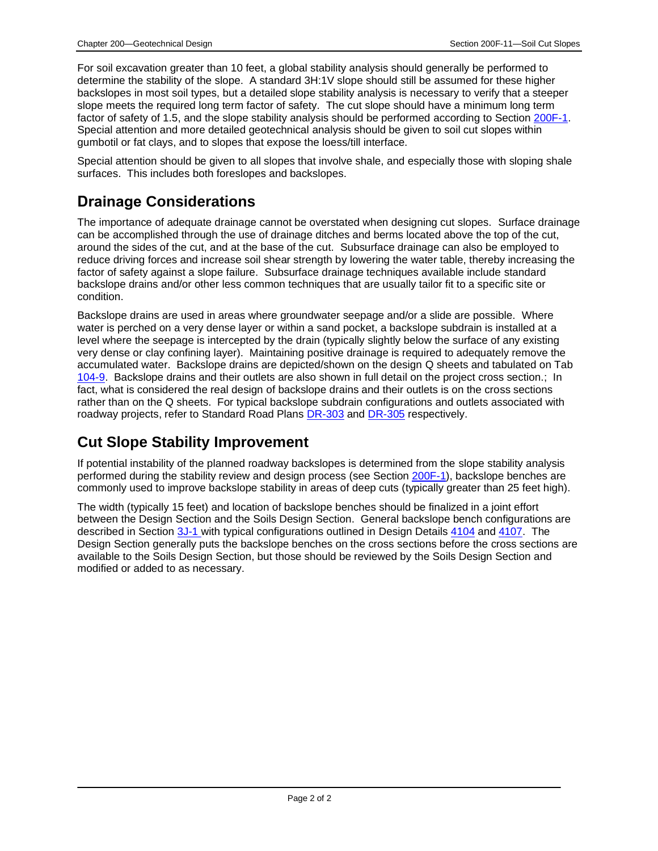For soil excavation greater than 10 feet, a global stability analysis should generally be performed to determine the stability of the slope. A standard 3H:1V slope should still be assumed for these higher backslopes in most soil types, but a detailed slope stability analysis is necessary to verify that a steeper slope meets the required long term factor of safety. The cut slope should have a minimum long term factor of safety of 1.5, and the slope stability analysis should be performed according to Section [200F-1.](200F-01.pdf) Special attention and more detailed geotechnical analysis should be given to soil cut slopes within gumbotil or fat clays, and to slopes that expose the loess/till interface.

Special attention should be given to all slopes that involve shale, and especially those with sloping shale surfaces. This includes both foreslopes and backslopes.

#### **Drainage Considerations**

The importance of adequate drainage cannot be overstated when designing cut slopes. Surface drainage can be accomplished through the use of drainage ditches and berms located above the top of the cut, around the sides of the cut, and at the base of the cut. Subsurface drainage can also be employed to reduce driving forces and increase soil shear strength by lowering the water table, thereby increasing the factor of safety against a slope failure. Subsurface drainage techniques available include standard backslope drains and/or other less common techniques that are usually tailor fit to a specific site or condition.

Backslope drains are used in areas where groundwater seepage and/or a slide are possible. Where water is perched on a very dense layer or within a sand pocket, a backslope subdrain is installed at a level where the seepage is intercepted by the drain (typically slightly below the surface of any existing very dense or clay confining layer). Maintaining positive drainage is required to adequately remove the accumulated water. Backslope drains are depicted/shown on the design Q sheets and tabulated on Tab [104-9.](../tnt/PDFsandWebFiles/IndividualPDFs/0104-09.PDF) Backslope drains and their outlets are also shown in full detail on the project cross section.; In fact, what is considered the real design of backslope drains and their outlets is on the cross sections rather than on the Q sheets. For typical backslope subdrain configurations and outlets associated with roadway projects, refer to Standard Road Plans [DR-303](../SRP/IndividualStandards/dr303.pdf) and [DR-305](../SRP/IndividualStandards/dr305.pdf) respectively.

#### **Cut Slope Stability Improvement**

If potential instability of the planned roadway backslopes is determined from the slope stability analysis performed during the stability review and design process (see Section [200F-1\)](200F-01.pdf), backslope benches are commonly used to improve backslope stability in areas of deep cuts (typically greater than 25 feet high).

The width (typically 15 feet) and location of backslope benches should be finalized in a joint effort between the Design Section and the Soils Design Section. General backslope bench configurations are described in Section [3J-1](03J-01.pdf) with typical configurations outlined in Design Details [4104](../tnt/PDFsandWebFiles/IndividualPDFs/4104.pdf) and [4107.](../tnt/PDFsandWebFiles/IndividualPDFs/4107.pdf) The Design Section generally puts the backslope benches on the cross sections before the cross sections are available to the Soils Design Section, but those should be reviewed by the Soils Design Section and modified or added to as necessary.